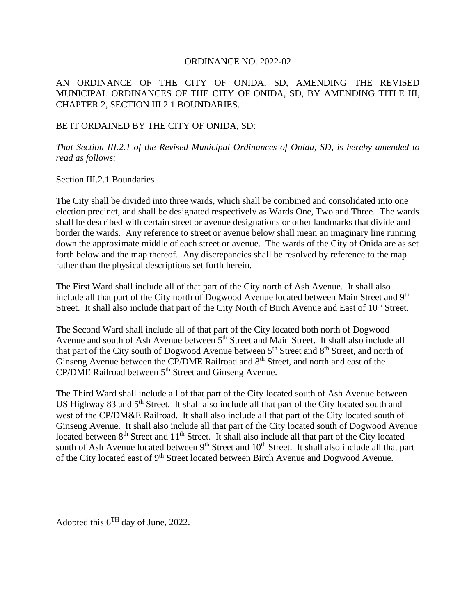#### ORDINANCE NO. 2022-02

## AN ORDINANCE OF THE CITY OF ONIDA, SD, AMENDING THE REVISED MUNICIPAL ORDINANCES OF THE CITY OF ONIDA, SD, BY AMENDING TITLE III, CHAPTER 2, SECTION III.2.1 BOUNDARIES.

## BE IT ORDAINED BY THE CITY OF ONIDA, SD:

*That Section III.2.1 of the Revised Municipal Ordinances of Onida, SD, is hereby amended to read as follows:*

### Section III.2.1 Boundaries

The City shall be divided into three wards, which shall be combined and consolidated into one election precinct, and shall be designated respectively as Wards One, Two and Three. The wards shall be described with certain street or avenue designations or other landmarks that divide and border the wards. Any reference to street or avenue below shall mean an imaginary line running down the approximate middle of each street or avenue. The wards of the City of Onida are as set forth below and the map thereof. Any discrepancies shall be resolved by reference to the map rather than the physical descriptions set forth herein.

The First Ward shall include all of that part of the City north of Ash Avenue. It shall also include all that part of the City north of Dogwood Avenue located between Main Street and 9<sup>th</sup> Street. It shall also include that part of the City North of Birch Avenue and East of 10<sup>th</sup> Street.

The Second Ward shall include all of that part of the City located both north of Dogwood Avenue and south of Ash Avenue between  $5<sup>th</sup>$  Street and Main Street. It shall also include all that part of the City south of Dogwood Avenue between  $5<sup>th</sup>$  Street and  $8<sup>th</sup>$  Street, and north of Ginseng Avenue between the CP/DME Railroad and 8<sup>th</sup> Street, and north and east of the CP/DME Railroad between 5<sup>th</sup> Street and Ginseng Avenue.

The Third Ward shall include all of that part of the City located south of Ash Avenue between US Highway 83 and 5<sup>th</sup> Street. It shall also include all that part of the City located south and west of the CP/DM&E Railroad. It shall also include all that part of the City located south of Ginseng Avenue. It shall also include all that part of the City located south of Dogwood Avenue located between  $8<sup>th</sup>$  Street and  $11<sup>th</sup>$  Street. It shall also include all that part of the City located south of Ash Avenue located between 9<sup>th</sup> Street and 10<sup>th</sup> Street. It shall also include all that part of the City located east of 9<sup>th</sup> Street located between Birch Avenue and Dogwood Avenue.

Adopted this  $6^{TH}$  day of June, 2022.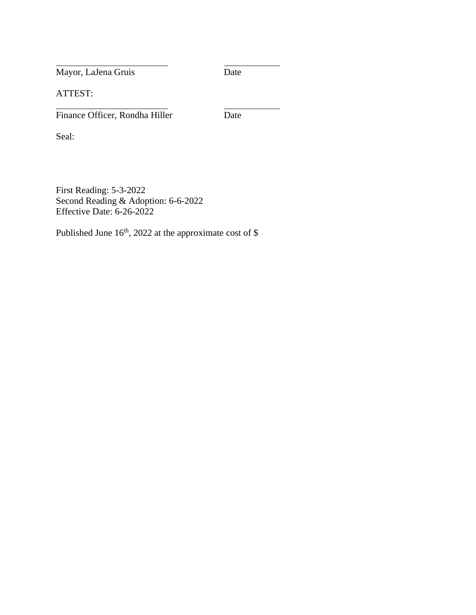Mayor, LaJena Gruis Date

ATTEST:

Finance Officer, Rondha Hiller Date

Seal:

First Reading: 5-3-2022 Second Reading & Adoption: 6-6-2022 Effective Date: 6-26-2022

Published June  $16<sup>th</sup>$ , 2022 at the approximate cost of \$